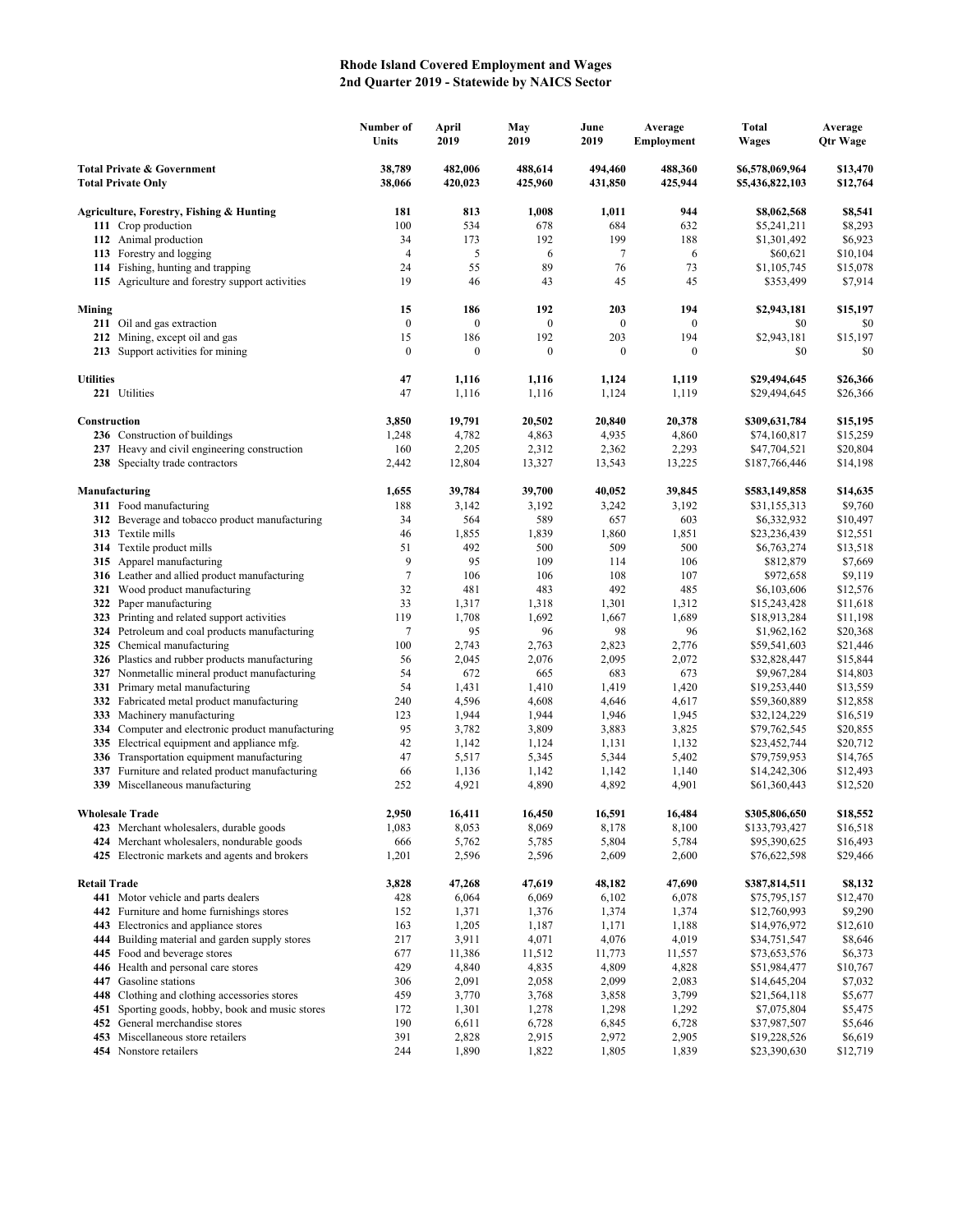## **Rhode Island Covered Employment and Wages 2nd Quarter 2019 - Statewide by NAICS Sector**

|                                                                    |                                                                                              | Number of<br>Units     | April<br>2019           | May<br>2019             | June<br>2019            | Average<br>Employment | <b>Total</b><br><b>Wages</b>       | Average<br><b>Qtr Wage</b> |
|--------------------------------------------------------------------|----------------------------------------------------------------------------------------------|------------------------|-------------------------|-------------------------|-------------------------|-----------------------|------------------------------------|----------------------------|
| <b>Total Private &amp; Government</b><br><b>Total Private Only</b> |                                                                                              | 38,789<br>38,066       | 482,006<br>420,023      | 488,614<br>425,960      | 494,460<br>431,850      | 488,360<br>425,944    | \$6,578,069,964<br>\$5,436,822,103 | \$13,470<br>\$12,764       |
|                                                                    | Agriculture, Forestry, Fishing & Hunting                                                     | 181                    | 813                     | 1,008                   | 1,011                   | 944                   | \$8,062,568                        | \$8,541                    |
|                                                                    | 111 Crop production                                                                          | 100                    | 534                     | 678                     | 684                     | 632                   | \$5,241,211                        | \$8,293                    |
|                                                                    | 112 Animal production                                                                        | 34                     | 173                     | 192                     | 199                     | 188                   | \$1,301,492                        | \$6,923                    |
|                                                                    | 113 Forestry and logging                                                                     | $\overline{4}$         | 5                       | 6                       | 7                       | 6                     | \$60,621                           | \$10,104                   |
|                                                                    | 114 Fishing, hunting and trapping                                                            | 24                     | 55                      | 89                      | 76                      | 73                    | \$1,105,745                        | \$15,078                   |
|                                                                    | 115 Agriculture and forestry support activities                                              | 19                     | 46                      | 43                      | 45                      | 45                    | \$353,499                          | \$7,914                    |
| Mining                                                             |                                                                                              | 15                     | 186                     | 192                     | 203                     | 194                   | \$2,943,181                        | \$15,197                   |
|                                                                    | 211 Oil and gas extraction                                                                   | $\boldsymbol{0}$       | $\boldsymbol{0}$        | $\boldsymbol{0}$        | $\boldsymbol{0}$        | $\mathbf{0}$          | \$0                                | \$0                        |
|                                                                    | 212 Mining, except oil and gas<br>213 Support activities for mining                          | 15<br>$\boldsymbol{0}$ | 186<br>$\boldsymbol{0}$ | 192<br>$\boldsymbol{0}$ | 203<br>$\boldsymbol{0}$ | 194<br>$\mathbf{0}$   | \$2,943,181<br>\$0                 | \$15,197<br>\$0            |
| <b>Utilities</b>                                                   |                                                                                              | 47                     | 1,116                   | 1,116                   | 1,124                   | 1,119                 | \$29,494,645                       | \$26,366                   |
|                                                                    | 221 Utilities                                                                                | 47                     | 1,116                   | 1,116                   | 1,124                   | 1,119                 | \$29,494,645                       | \$26,366                   |
| Construction                                                       |                                                                                              | 3,850                  | 19,791                  | 20,502                  | 20,840                  | 20,378                | \$309,631,784                      | \$15,195                   |
|                                                                    | 236 Construction of buildings                                                                | 1,248                  | 4,782                   | 4,863                   | 4,935                   | 4,860                 | \$74,160,817                       | \$15,259                   |
|                                                                    | 237 Heavy and civil engineering construction                                                 | 160                    | 2,205                   | 2,312                   | 2,362                   | 2,293                 | \$47,704,521                       | \$20,804                   |
|                                                                    | 238 Specialty trade contractors                                                              | 2,442                  | 12,804                  | 13,327                  | 13,543                  | 13,225                | \$187,766,446                      | \$14,198                   |
| Manufacturing                                                      |                                                                                              | 1,655                  | 39,784                  | 39,700                  | 40,052                  | 39,845                | \$583,149,858                      | \$14,635                   |
|                                                                    | 311 Food manufacturing                                                                       | 188                    | 3,142                   | 3,192                   | 3,242                   | 3,192                 | \$31,155,313                       | \$9,760                    |
|                                                                    | 312 Beverage and tobacco product manufacturing                                               | 34                     | 564                     | 589                     | 657                     | 603                   | \$6,332,932                        | \$10,497                   |
|                                                                    | 313 Textile mills                                                                            | 46                     | 1,855                   | 1,839                   | 1,860                   | 1,851                 | \$23,236,439                       | \$12,551                   |
|                                                                    | 314 Textile product mills                                                                    | 51                     | 492                     | 500                     | 509                     | 500                   | \$6,763,274                        | \$13,518                   |
|                                                                    | 315 Apparel manufacturing                                                                    | 9                      | 95                      | 109                     | 114                     | 106                   | \$812,879                          | \$7,669                    |
|                                                                    | 316 Leather and allied product manufacturing<br>321 Wood product manufacturing               | 7<br>32                | 106<br>481              | 106<br>483              | 108<br>492              | 107<br>485            | \$972,658<br>\$6,103,606           | \$9,119<br>\$12,576        |
|                                                                    | 322 Paper manufacturing                                                                      | 33                     | 1,317                   | 1,318                   | 1,301                   | 1,312                 | \$15,243,428                       | \$11,618                   |
|                                                                    | 323 Printing and related support activities                                                  | 119                    | 1,708                   | 1,692                   | 1,667                   | 1,689                 | \$18,913,284                       | \$11,198                   |
|                                                                    | 324 Petroleum and coal products manufacturing                                                | 7                      | 95                      | 96                      | 98                      | 96                    | \$1,962,162                        | \$20,368                   |
|                                                                    | 325 Chemical manufacturing                                                                   | 100                    | 2,743                   | 2,763                   | 2,823                   | 2,776                 | \$59,541,603                       | \$21,446                   |
|                                                                    | 326 Plastics and rubber products manufacturing                                               | 56                     | 2,045                   | 2,076                   | 2,095                   | 2,072                 | \$32,828,447                       | \$15,844                   |
|                                                                    | 327 Nonmetallic mineral product manufacturing                                                | 54                     | 672                     | 665                     | 683                     | 673                   | \$9,967,284                        | \$14,803                   |
|                                                                    | 331 Primary metal manufacturing                                                              | 54                     | 1,431                   | 1,410                   | 1,419                   | 1,420                 | \$19,253,440                       | \$13,559                   |
|                                                                    | 332 Fabricated metal product manufacturing                                                   | 240                    | 4,596                   | 4,608                   | 4,646                   | 4,617                 | \$59,360,889                       | \$12,858                   |
|                                                                    | 333 Machinery manufacturing                                                                  | 123                    | 1,944                   | 1,944                   | 1,946                   | 1,945                 | \$32,124,229                       | \$16,519                   |
|                                                                    | 334 Computer and electronic product manufacturing                                            | 95                     | 3,782                   | 3,809                   | 3,883                   | 3,825                 | \$79,762,545                       | \$20,855                   |
|                                                                    | 335 Electrical equipment and appliance mfg.                                                  | 42                     | 1,142                   | 1,124                   | 1,131                   | 1,132                 | \$23,452,744                       | \$20,712                   |
|                                                                    | 336 Transportation equipment manufacturing                                                   | 47                     | 5,517                   | 5,345                   | 5,344                   | 5,402                 | \$79,759,953                       | \$14,765                   |
| 337                                                                | Furniture and related product manufacturing<br>339 Miscellaneous manufacturing               | 66<br>252              | 1,136<br>4,921          | 1,142<br>4,890          | 1,142<br>4,892          | 1,140<br>4,901        | \$14,242,306<br>\$61,360,443       | \$12,493<br>\$12,520       |
| <b>Wholesale Trade</b>                                             |                                                                                              | 2,950                  | 16,411                  | 16,450                  | 16,591                  | 16,484                | \$305,806,650                      | \$18,552                   |
|                                                                    | 423 Merchant wholesalers, durable goods                                                      | 1,083                  | 8,053                   | 8,069                   | 8,178                   | 8,100                 | \$133,793,427                      | \$16,518                   |
|                                                                    | 424 Merchant wholesalers, nondurable goods                                                   | 666                    | 5,762                   | 5,785                   | 5,804                   | 5,784                 | \$95,390,625                       | \$16,493                   |
|                                                                    | 425 Electronic markets and agents and brokers                                                | 1,201                  | 2,596                   | 2,596                   | 2,609                   | 2,600                 | \$76,622,598                       | \$29,466                   |
| <b>Retail Trade</b>                                                |                                                                                              | 3,828                  | 47,268                  | 47,619                  | 48,182                  | 47,690                | \$387,814,511                      | \$8,132                    |
|                                                                    | 441 Motor vehicle and parts dealers                                                          | 428                    | 6,064                   | 6,069                   | 6,102                   | 6,078                 | \$75,795,157                       | \$12,470                   |
|                                                                    | 442 Furniture and home furnishings stores                                                    | 152                    | 1,371                   | 1,376                   | 1,374                   | 1,374                 | \$12,760,993                       | \$9,290                    |
| 443                                                                | Electronics and appliance stores                                                             | 163                    | 1,205                   | 1,187                   | 1,171                   | 1,188                 | \$14,976,972                       | \$12,610                   |
| 444                                                                | Building material and garden supply stores                                                   | 217                    | 3,911                   | 4,071                   | 4,076                   | 4,019                 | \$34,751,547                       | \$8,646                    |
| 445                                                                | Food and beverage stores                                                                     | 677                    | 11,386                  | 11,512                  | 11,773                  | 11,557                | \$73,653,576                       | \$6,373                    |
|                                                                    | 446 Health and personal care stores                                                          | 429                    | 4,840                   | 4,835                   | 4,809                   | 4,828                 | \$51,984,477                       | \$10,767                   |
| 447                                                                | Gasoline stations                                                                            | 306                    | 2,091                   | 2,058                   | 2,099                   | 2,083                 | \$14,645,204                       | \$7,032                    |
| 451                                                                | 448 Clothing and clothing accessories stores<br>Sporting goods, hobby, book and music stores | 459<br>172             | 3,770<br>1,301          | 3,768<br>1,278          | 3,858<br>1,298          | 3,799<br>1,292        | \$21,564,118<br>\$7,075,804        | \$5,677<br>\$5,475         |
|                                                                    | 452 General merchandise stores                                                               | 190                    | 6,611                   | 6,728                   | 6,845                   | 6,728                 | \$37,987,507                       | \$5,646                    |
|                                                                    | 453 Miscellaneous store retailers                                                            | 391                    | 2,828                   | 2,915                   | 2,972                   | 2,905                 | \$19,228,526                       | \$6,619                    |
|                                                                    | 454 Nonstore retailers                                                                       | 244                    | 1,890                   | 1,822                   | 1,805                   | 1,839                 | \$23,390,630                       | \$12,719                   |